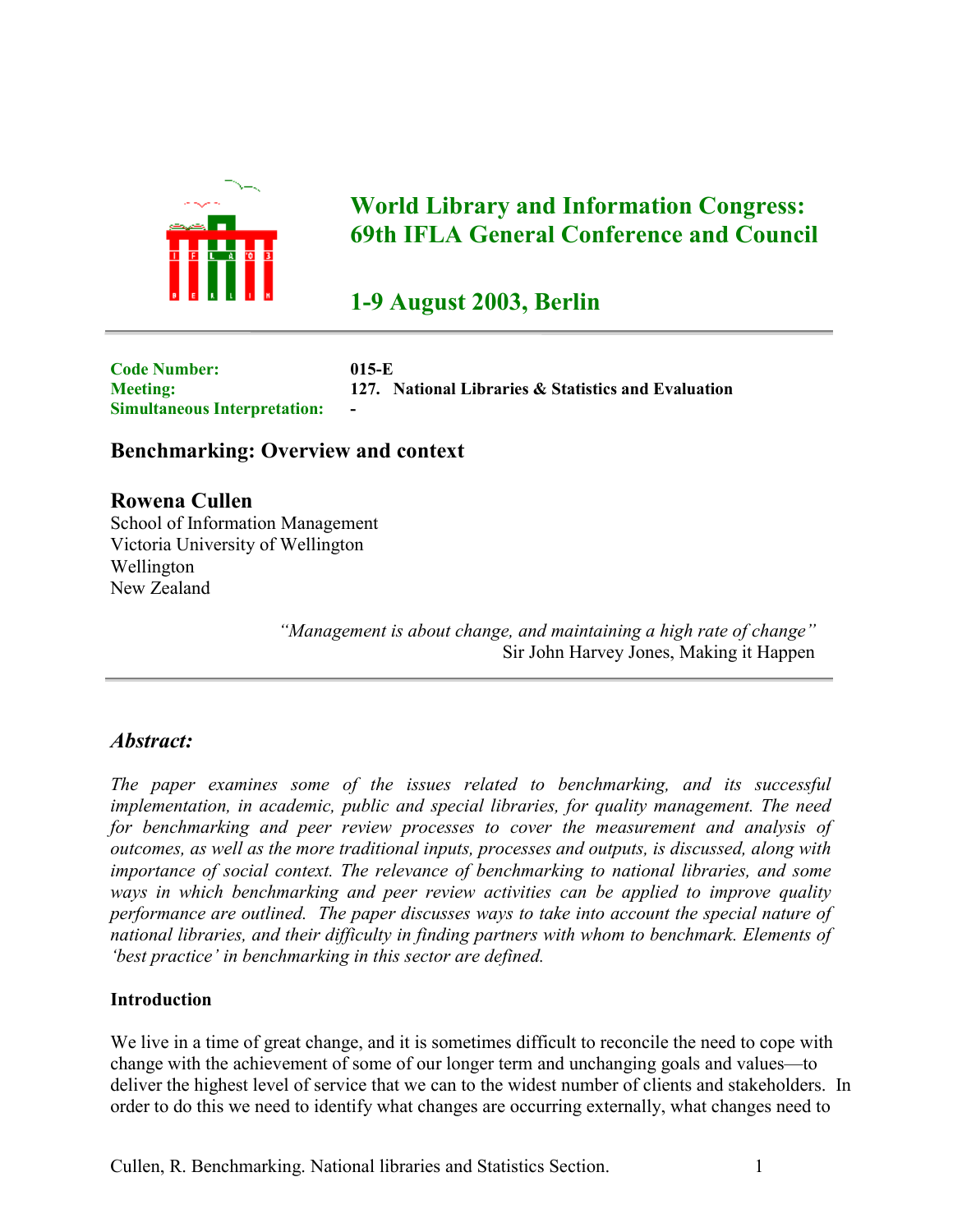

# **World Library and Information Congress: 69th IFLA General Conference and Council**

# **1-9 August 2003, Berlin**

**Code Number: 015-E Meeting: 127. National Libraries & Statistics and Evaluation Simultaneous Interpretation:** 

# **Benchmarking: Overview and context**

**Rowena Cullen** School of Information Management Victoria University of Wellington Wellington New Zealand

> *"Management is about change, and maintaining a high rate of change"* Sir John Harvey Jones, Making it Happen

# *Abstract:*

*The paper examines some of the issues related to benchmarking, and its successful implementation, in academic, public and special libraries, for quality management. The need for benchmarking and peer review processes to cover the measurement and analysis of outcomes, as well as the more traditional inputs, processes and outputs, is discussed, along with importance of social context. The relevance of benchmarking to national libraries, and some ways in which benchmarking and peer review activities can be applied to improve quality performance are outlined. The paper discusses ways to take into account the special nature of national libraries, and their difficulty in finding partners with whom to benchmark. Elements of 'best practice' in benchmarking in this sector are defined.*

### **Introduction**

We live in a time of great change, and it is sometimes difficult to reconcile the need to cope with change with the achievement of some of our longer term and unchanging goals and values—to deliver the highest level of service that we can to the widest number of clients and stakeholders. In order to do this we need to identify what changes are occurring externally, what changes need to

Cullen, R. Benchmarking. National libraries and Statistics Section. 1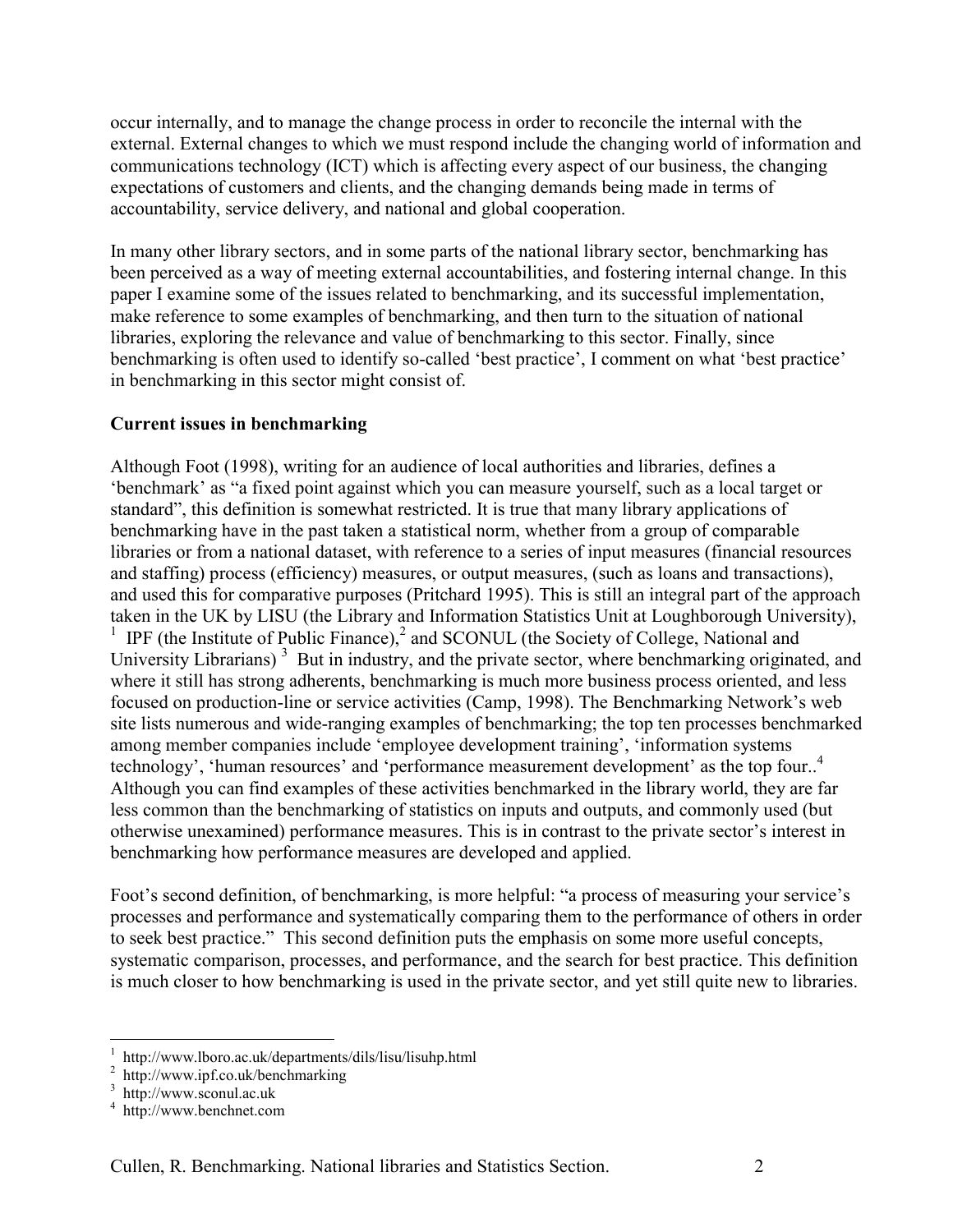occur internally, and to manage the change process in order to reconcile the internal with the external. External changes to which we must respond include the changing world of information and communications technology (ICT) which is affecting every aspect of our business, the changing expectations of customers and clients, and the changing demands being made in terms of accountability, service delivery, and national and global cooperation.

In many other library sectors, and in some parts of the national library sector, benchmarking has been perceived as a way of meeting external accountabilities, and fostering internal change. In this paper I examine some of the issues related to benchmarking, and its successful implementation, make reference to some examples of benchmarking, and then turn to the situation of national libraries, exploring the relevance and value of benchmarking to this sector. Finally, since benchmarking is often used to identify so-called 'best practice', I comment on what 'best practice' in benchmarking in this sector might consist of.

## **Current issues in benchmarking**

Although Foot (1998), writing for an audience of local authorities and libraries, defines a 'benchmark' as "a fixed point against which you can measure yourself, such as a local target or standard", this definition is somewhat restricted. It is true that many library applications of benchmarking have in the past taken a statistical norm, whether from a group of comparable libraries or from a national dataset, with reference to a series of input measures (financial resources and staffing) process (efficiency) measures, or output measures, (such as loans and transactions), and used this for comparative purposes (Pritchard 1995). This is still an integral part of the approach taken in the UK by LISU (the Library and Information Statistics Unit at Loughborough University), <sup>1</sup>IPF (the Institute of Public Finance),<sup>2</sup> [a](#page-1-1)nd SCONUL (the Society of College, National and UniversityLibrarians)<sup>3</sup> But in industry, and the private sector, where benchmarking originated, and where it still has strong adherents, benchmarking is much more business process oriented, and less focused on production-line or service activities (Camp, 1998). The Benchmarking Network's web site lists numerous and wide-ranging examples of benchmarking; the top ten processes benchmarked among member companies include 'employee development training', 'information systems technology', 'human resources' and 'performance measurement development' as the top four..<sup>[4](#page-1-3)</sup> Although you can find examples of these activities benchmarked in the library world, they are far less common than the benchmarking of statistics on inputs and outputs, and commonly used (but otherwise unexamined) performance measures. This is in contrast to the private sector's interest in benchmarking how performance measures are developed and applied.

Foot's second definition, of benchmarking, is more helpful: "a process of measuring your service's processes and performance and systematically comparing them to the performance of others in order to seek best practice." This second definition puts the emphasis on some more useful concepts, systematic comparison, processes, and performance, and the search for best practice. This definition is much closer to how benchmarking is used in the private sector, and yet still quite new to libraries.

 $\overline{a}$ 

<span id="page-1-0"></span><sup>1</sup> http://www.lboro.ac.uk/departments/dils/lisu/lisuhp.html

<span id="page-1-1"></span>http://www.ipf.co.uk/benchmarking

<span id="page-1-2"></span>http://www.sconul.ac.uk

<span id="page-1-3"></span>http://www.benchnet.com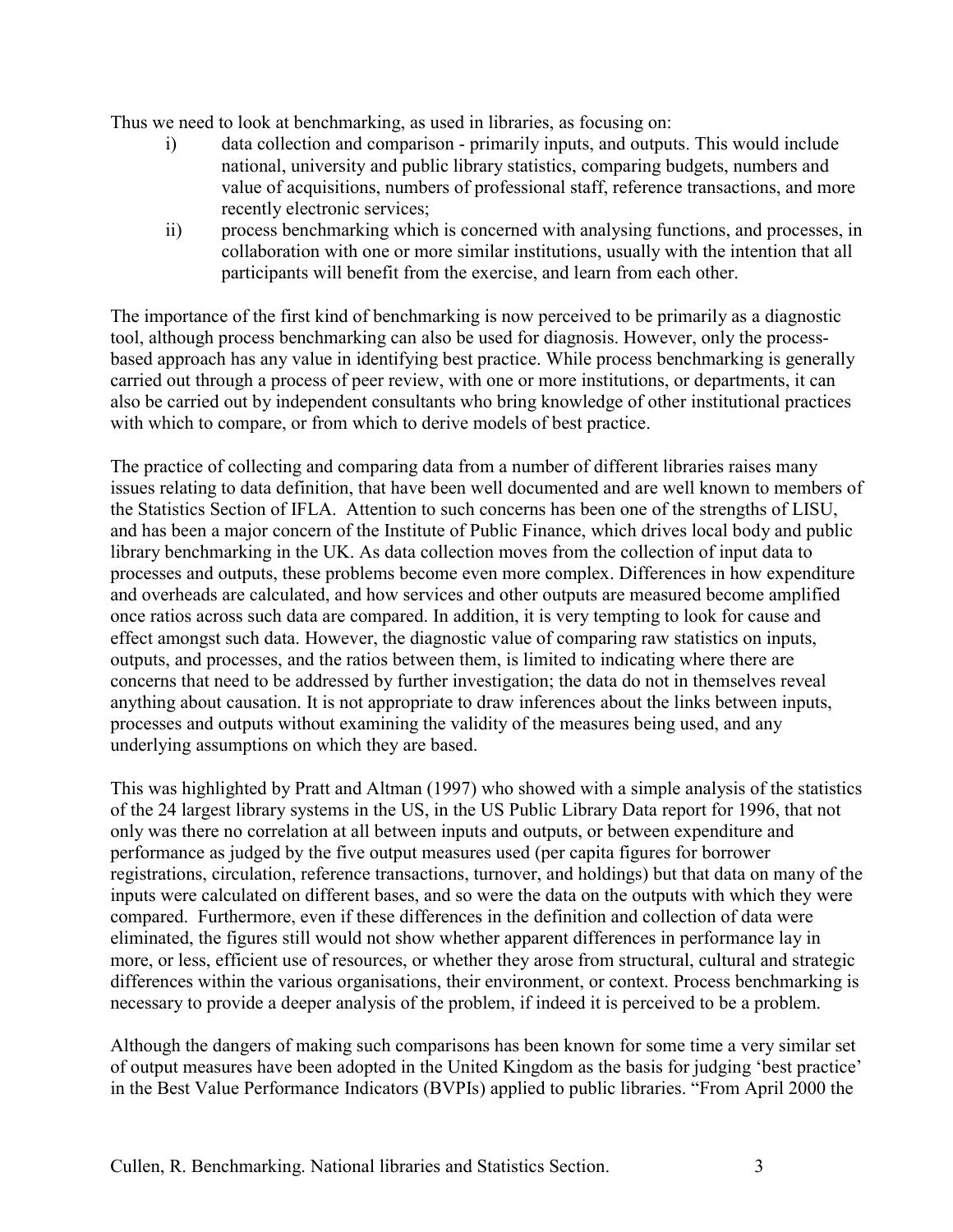Thus we need to look at benchmarking, as used in libraries, as focusing on:

- i) data collection and comparison primarily inputs, and outputs. This would include national, university and public library statistics, comparing budgets, numbers and value of acquisitions, numbers of professional staff, reference transactions, and more recently electronic services;
- ii) process benchmarking which is concerned with analysing functions, and processes, in collaboration with one or more similar institutions, usually with the intention that all participants will benefit from the exercise, and learn from each other.

The importance of the first kind of benchmarking is now perceived to be primarily as a diagnostic tool, although process benchmarking can also be used for diagnosis. However, only the processbased approach has any value in identifying best practice. While process benchmarking is generally carried out through a process of peer review, with one or more institutions, or departments, it can also be carried out by independent consultants who bring knowledge of other institutional practices with which to compare, or from which to derive models of best practice.

The practice of collecting and comparing data from a number of different libraries raises many issues relating to data definition, that have been well documented and are well known to members of the Statistics Section of IFLA. Attention to such concerns has been one of the strengths of LISU, and has been a major concern of the Institute of Public Finance, which drives local body and public library benchmarking in the UK. As data collection moves from the collection of input data to processes and outputs, these problems become even more complex. Differences in how expenditure and overheads are calculated, and how services and other outputs are measured become amplified once ratios across such data are compared. In addition, it is very tempting to look for cause and effect amongst such data. However, the diagnostic value of comparing raw statistics on inputs, outputs, and processes, and the ratios between them, is limited to indicating where there are concerns that need to be addressed by further investigation; the data do not in themselves reveal anything about causation. It is not appropriate to draw inferences about the links between inputs, processes and outputs without examining the validity of the measures being used, and any underlying assumptions on which they are based.

This was highlighted by Pratt and Altman (1997) who showed with a simple analysis of the statistics of the 24 largest library systems in the US, in the US Public Library Data report for 1996, that not only was there no correlation at all between inputs and outputs, or between expenditure and performance as judged by the five output measures used (per capita figures for borrower registrations, circulation, reference transactions, turnover, and holdings) but that data on many of the inputs were calculated on different bases, and so were the data on the outputs with which they were compared. Furthermore, even if these differences in the definition and collection of data were eliminated, the figures still would not show whether apparent differences in performance lay in more, or less, efficient use of resources, or whether they arose from structural, cultural and strategic differences within the various organisations, their environment, or context. Process benchmarking is necessary to provide a deeper analysis of the problem, if indeed it is perceived to be a problem.

Although the dangers of making such comparisons has been known for some time a very similar set of output measures have been adopted in the United Kingdom as the basis for judging 'best practice' in the Best Value Performance Indicators (BVPIs) applied to public libraries. "From April 2000 the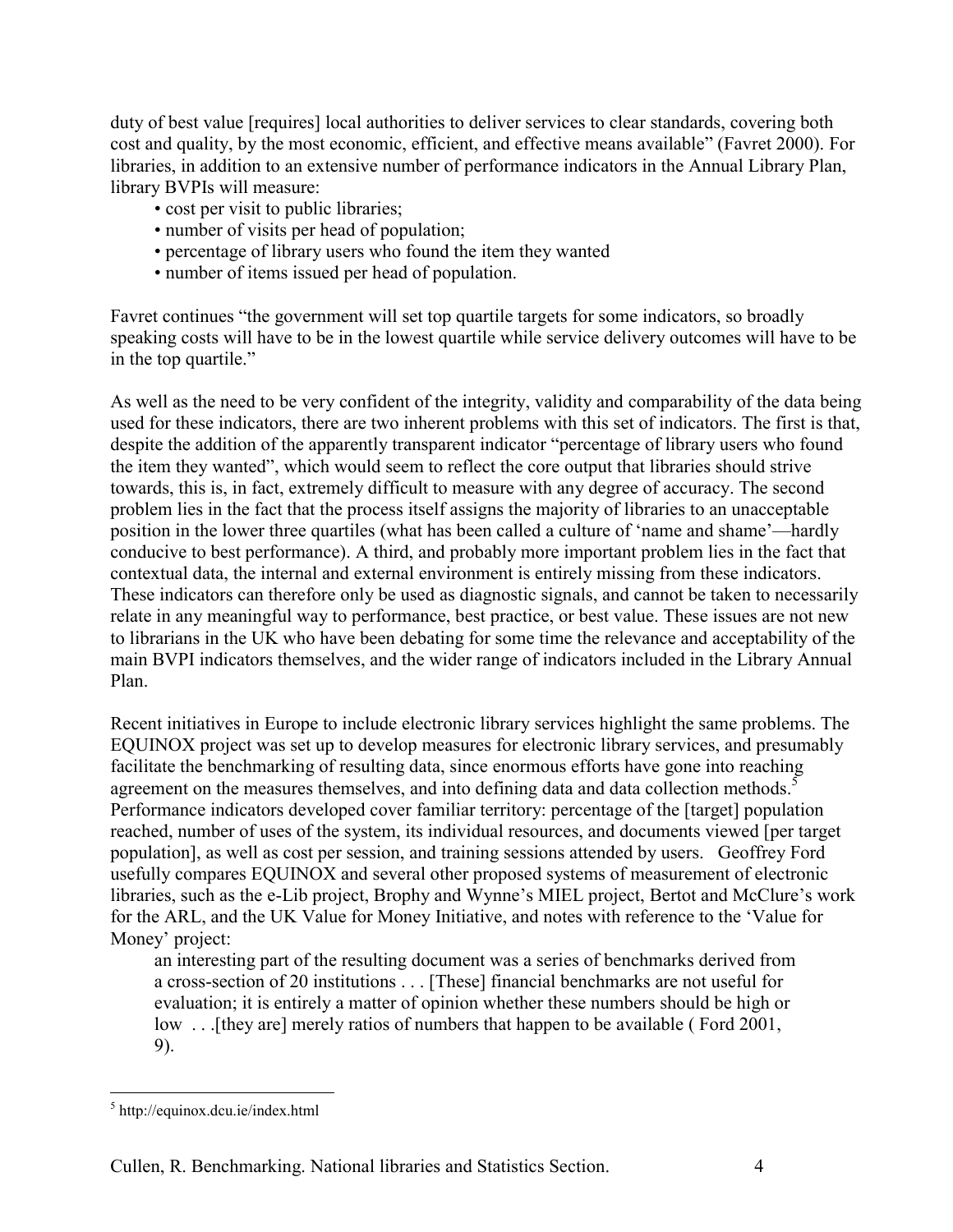duty of best value [requires] local authorities to deliver services to clear standards, covering both cost and quality, by the most economic, efficient, and effective means available" (Favret 2000). For libraries, in addition to an extensive number of performance indicators in the Annual Library Plan, library BVPIs will measure:

- cost per visit to public libraries;
- number of visits per head of population;
- percentage of library users who found the item they wanted
- number of items issued per head of population.

Favret continues "the government will set top quartile targets for some indicators, so broadly speaking costs will have to be in the lowest quartile while service delivery outcomes will have to be in the top quartile."

As well as the need to be very confident of the integrity, validity and comparability of the data being used for these indicators, there are two inherent problems with this set of indicators. The first is that, despite the addition of the apparently transparent indicator "percentage of library users who found the item they wanted", which would seem to reflect the core output that libraries should strive towards, this is, in fact, extremely difficult to measure with any degree of accuracy. The second problem lies in the fact that the process itself assigns the majority of libraries to an unacceptable position in the lower three quartiles (what has been called a culture of 'name and shame'—hardly conducive to best performance). A third, and probably more important problem lies in the fact that contextual data, the internal and external environment is entirely missing from these indicators. These indicators can therefore only be used as diagnostic signals, and cannot be taken to necessarily relate in any meaningful way to performance, best practice, or best value. These issues are not new to librarians in the UK who have been debating for some time the relevance and acceptability of the main BVPI indicators themselves, and the wider range of indicators included in the Library Annual Plan.

Recent initiatives in Europe to include electronic library services highlight the same problems. The EQUINOX project was set up to develop measures for electronic library services, and presumably facilitate the benchmarking of resulting data, since enormous efforts have gone into reaching agreement on the measures themselves, and into defining data and data collection methods.<sup>[5](#page-3-0)</sup> Performance indicators developed cover familiar territory: percentage of the [target] population reached, number of uses of the system, its individual resources, and documents viewed [per target population], as well as cost per session, and training sessions attended by users. Geoffrey Ford usefully compares EQUINOX and several other proposed systems of measurement of electronic libraries, such as the e-Lib project, Brophy and Wynne's MIEL project, Bertot and McClure's work for the ARL, and the UK Value for Money Initiative, and notes with reference to the 'Value for Money' project:

an interesting part of the resulting document was a series of benchmarks derived from a cross-section of 20 institutions . . . [These] financial benchmarks are not useful for evaluation; it is entirely a matter of opinion whether these numbers should be high or low ... [they are] merely ratios of numbers that happen to be available (Ford 2001, 9).

 $\overline{a}$ 

<span id="page-3-0"></span><sup>5</sup> http://equinox.dcu.ie/index.html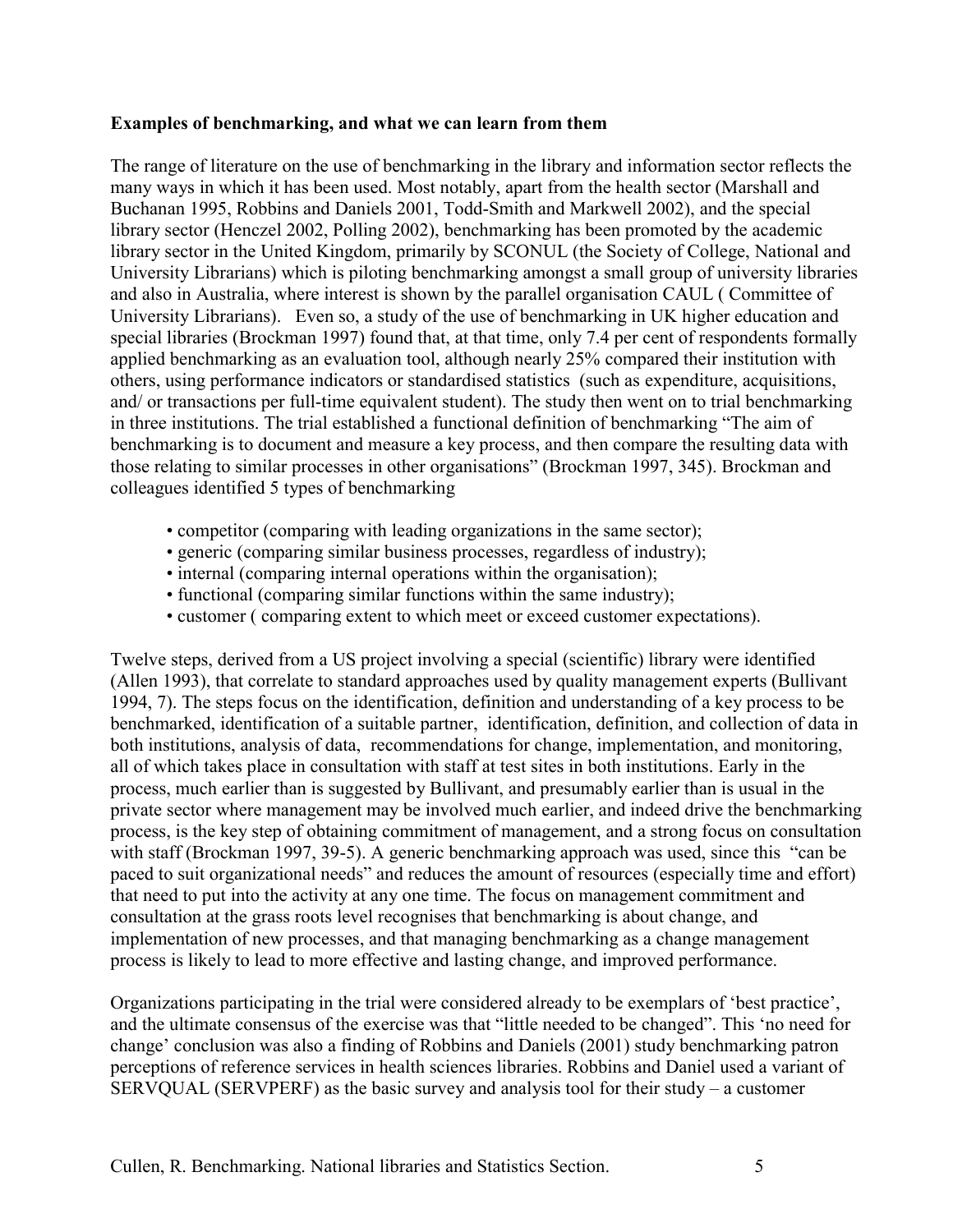#### **Examples of benchmarking, and what we can learn from them**

The range of literature on the use of benchmarking in the library and information sector reflects the many ways in which it has been used. Most notably, apart from the health sector (Marshall and Buchanan 1995, Robbins and Daniels 2001, Todd-Smith and Markwell 2002), and the special library sector (Henczel 2002, Polling 2002), benchmarking has been promoted by the academic library sector in the United Kingdom, primarily by SCONUL (the Society of College, National and University Librarians) which is piloting benchmarking amongst a small group of university libraries and also in Australia, where interest is shown by the parallel organisation CAUL ( Committee of University Librarians). Even so, a study of the use of benchmarking in UK higher education and special libraries (Brockman 1997) found that, at that time, only 7.4 per cent of respondents formally applied benchmarking as an evaluation tool, although nearly 25% compared their institution with others, using performance indicators or standardised statistics (such as expenditure, acquisitions, and/ or transactions per full-time equivalent student). The study then went on to trial benchmarking in three institutions. The trial established a functional definition of benchmarking "The aim of benchmarking is to document and measure a key process, and then compare the resulting data with those relating to similar processes in other organisations" (Brockman 1997, 345). Brockman and colleagues identified 5 types of benchmarking

- competitor (comparing with leading organizations in the same sector);
- generic (comparing similar business processes, regardless of industry);
- internal (comparing internal operations within the organisation);
- functional (comparing similar functions within the same industry);
- customer ( comparing extent to which meet or exceed customer expectations).

Twelve steps, derived from a US project involving a special (scientific) library were identified (Allen 1993), that correlate to standard approaches used by quality management experts (Bullivant 1994, 7). The steps focus on the identification, definition and understanding of a key process to be benchmarked, identification of a suitable partner, identification, definition, and collection of data in both institutions, analysis of data, recommendations for change, implementation, and monitoring, all of which takes place in consultation with staff at test sites in both institutions. Early in the process, much earlier than is suggested by Bullivant, and presumably earlier than is usual in the private sector where management may be involved much earlier, and indeed drive the benchmarking process, is the key step of obtaining commitment of management, and a strong focus on consultation with staff (Brockman 1997, 39-5). A generic benchmarking approach was used, since this "can be paced to suit organizational needs" and reduces the amount of resources (especially time and effort) that need to put into the activity at any one time. The focus on management commitment and consultation at the grass roots level recognises that benchmarking is about change, and implementation of new processes, and that managing benchmarking as a change management process is likely to lead to more effective and lasting change, and improved performance.

Organizations participating in the trial were considered already to be exemplars of 'best practice', and the ultimate consensus of the exercise was that "little needed to be changed". This 'no need for change' conclusion was also a finding of Robbins and Daniels (2001) study benchmarking patron perceptions of reference services in health sciences libraries. Robbins and Daniel used a variant of  $SERVOL$  (SERVPERF) as the basic survey and analysis tool for their study – a customer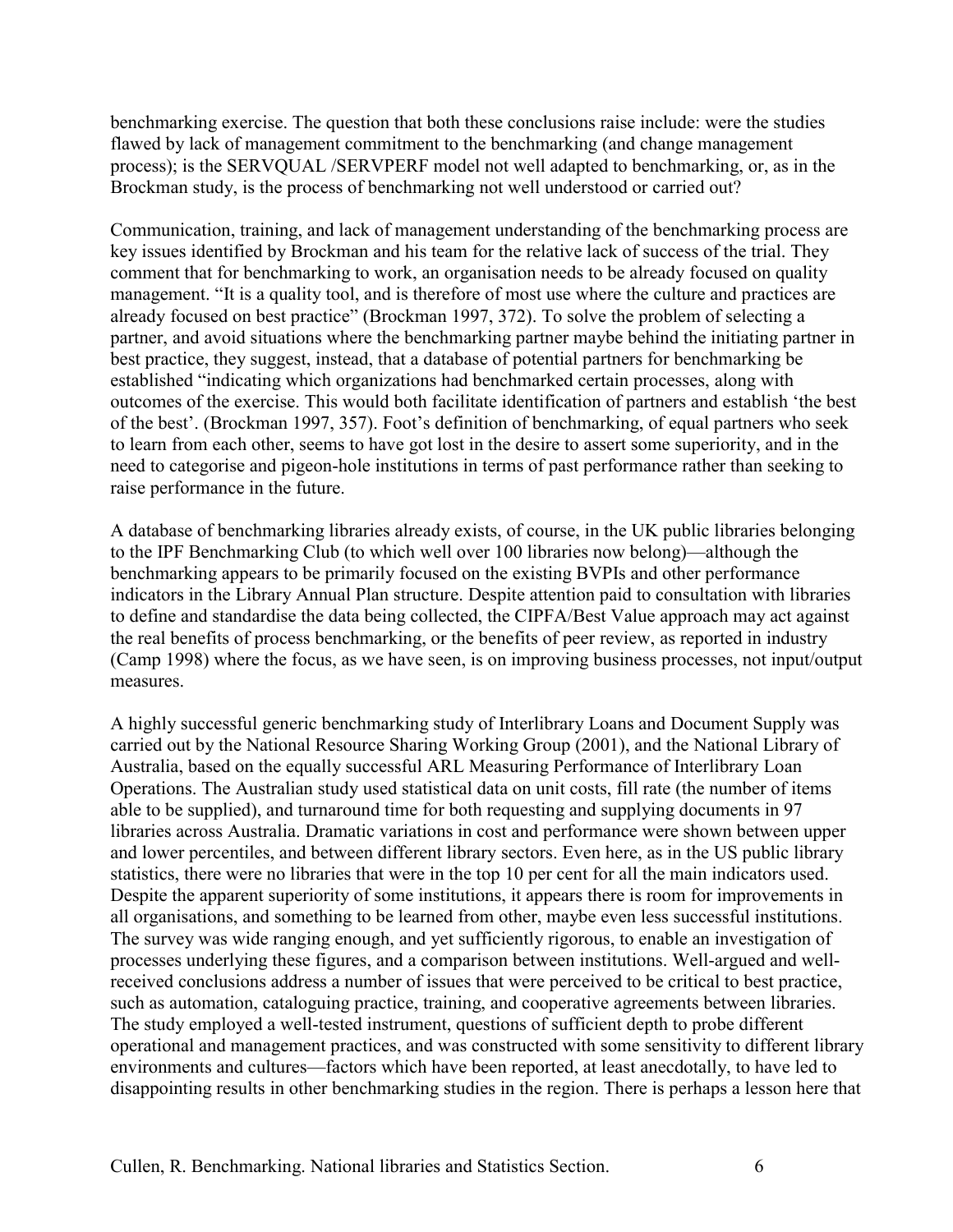benchmarking exercise. The question that both these conclusions raise include: were the studies flawed by lack of management commitment to the benchmarking (and change management process); is the SERVQUAL /SERVPERF model not well adapted to benchmarking, or, as in the Brockman study, is the process of benchmarking not well understood or carried out?

Communication, training, and lack of management understanding of the benchmarking process are key issues identified by Brockman and his team for the relative lack of success of the trial. They comment that for benchmarking to work, an organisation needs to be already focused on quality management. "It is a quality tool, and is therefore of most use where the culture and practices are already focused on best practice" (Brockman 1997, 372). To solve the problem of selecting a partner, and avoid situations where the benchmarking partner maybe behind the initiating partner in best practice, they suggest, instead, that a database of potential partners for benchmarking be established "indicating which organizations had benchmarked certain processes, along with outcomes of the exercise. This would both facilitate identification of partners and establish 'the best of the best'. (Brockman 1997, 357). Foot's definition of benchmarking, of equal partners who seek to learn from each other, seems to have got lost in the desire to assert some superiority, and in the need to categorise and pigeon-hole institutions in terms of past performance rather than seeking to raise performance in the future.

A database of benchmarking libraries already exists, of course, in the UK public libraries belonging to the IPF Benchmarking Club (to which well over 100 libraries now belong)—although the benchmarking appears to be primarily focused on the existing BVPIs and other performance indicators in the Library Annual Plan structure. Despite attention paid to consultation with libraries to define and standardise the data being collected, the CIPFA/Best Value approach may act against the real benefits of process benchmarking, or the benefits of peer review, as reported in industry (Camp 1998) where the focus, as we have seen, is on improving business processes, not input/output measures.

A highly successful generic benchmarking study of Interlibrary Loans and Document Supply was carried out by the National Resource Sharing Working Group (2001), and the National Library of Australia, based on the equally successful ARL Measuring Performance of Interlibrary Loan Operations. The Australian study used statistical data on unit costs, fill rate (the number of items able to be supplied), and turnaround time for both requesting and supplying documents in 97 libraries across Australia. Dramatic variations in cost and performance were shown between upper and lower percentiles, and between different library sectors. Even here, as in the US public library statistics, there were no libraries that were in the top 10 per cent for all the main indicators used. Despite the apparent superiority of some institutions, it appears there is room for improvements in all organisations, and something to be learned from other, maybe even less successful institutions. The survey was wide ranging enough, and yet sufficiently rigorous, to enable an investigation of processes underlying these figures, and a comparison between institutions. Well-argued and wellreceived conclusions address a number of issues that were perceived to be critical to best practice, such as automation, cataloguing practice, training, and cooperative agreements between libraries. The study employed a well-tested instrument, questions of sufficient depth to probe different operational and management practices, and was constructed with some sensitivity to different library environments and cultures—factors which have been reported, at least anecdotally, to have led to disappointing results in other benchmarking studies in the region. There is perhaps a lesson here that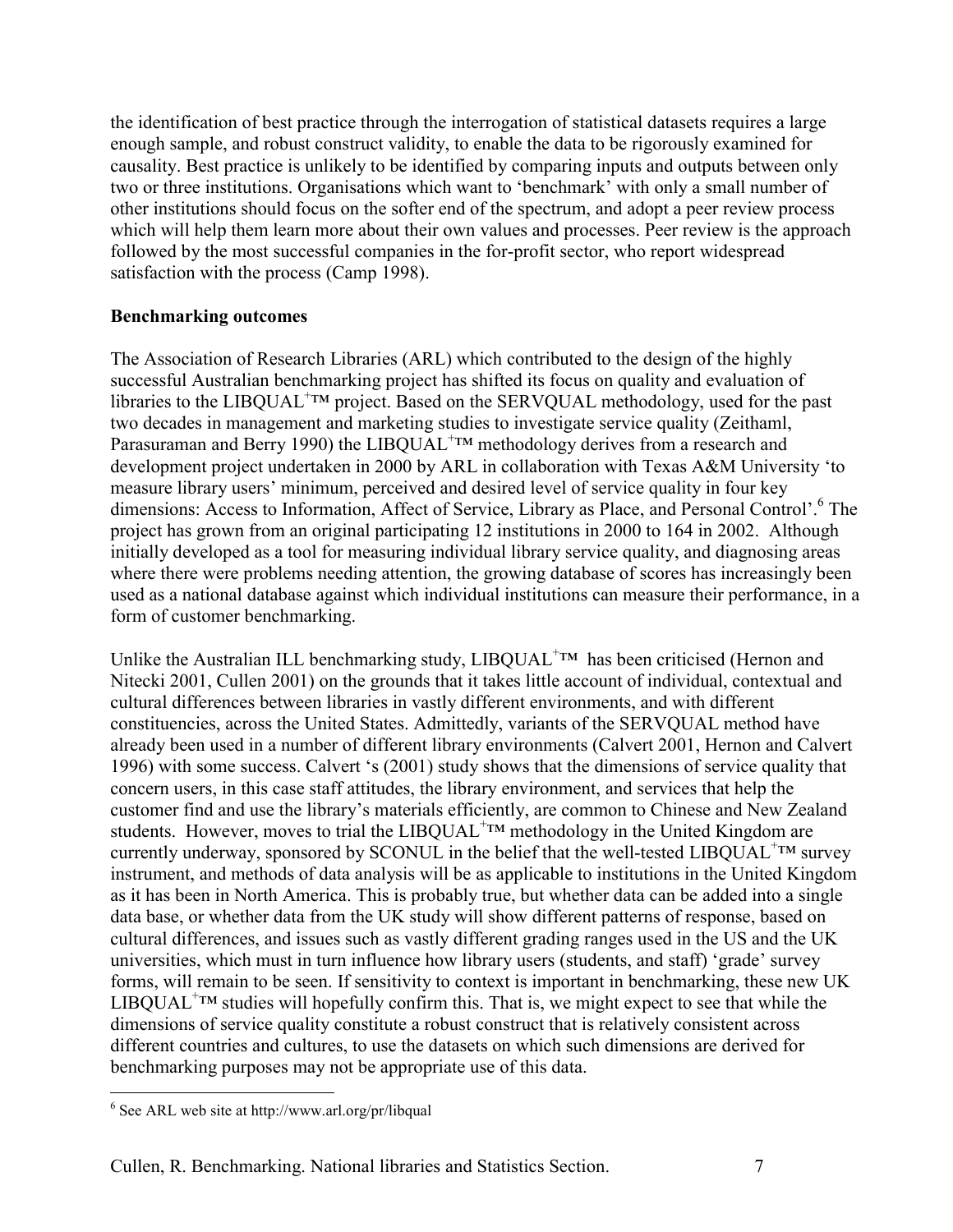the identification of best practice through the interrogation of statistical datasets requires a large enough sample, and robust construct validity, to enable the data to be rigorously examined for causality. Best practice is unlikely to be identified by comparing inputs and outputs between only two or three institutions. Organisations which want to 'benchmark' with only a small number of other institutions should focus on the softer end of the spectrum, and adopt a peer review process which will help them learn more about their own values and processes. Peer review is the approach followed by the most successful companies in the for-profit sector, who report widespread satisfaction with the process (Camp 1998).

### **Benchmarking outcomes**

The Association of Research Libraries (ARL) which contributed to the design of the highly successful Australian benchmarking project has shifted its focus on quality and evaluation of libraries to the LIBQUAL<sup>+TM</sup> project. Based on the SERVQUAL methodology, used for the past two decades in management and marketing studies to investigate service quality (Zeithaml, Parasuraman and Berry 1990) the LIBQUAL<sup>+TM</sup> methodology derives from a research and development project undertaken in 2000 by ARL in collaboration with Texas A&M University 'to measure library users' minimum, perceived and desired level of service quality in four key dimensions: Access to Information, Affect of Service, Library as Place, and Personal Control'.<sup>[6](#page-6-0)</sup> The project has grown from an original participating 12 institutions in 2000 to 164 in 2002. Although initially developed as a tool for measuring individual library service quality, and diagnosing areas where there were problems needing attention, the growing database of scores has increasingly been used as a national database against which individual institutions can measure their performance, in a form of customer benchmarking.

Unlike the Australian ILL benchmarking study,  $LIBQUAL^{+TM}$  has been criticised (Hernon and Nitecki 2001, Cullen 2001) on the grounds that it takes little account of individual, contextual and cultural differences between libraries in vastly different environments, and with different constituencies, across the United States. Admittedly, variants of the SERVQUAL method have already been used in a number of different library environments (Calvert 2001, Hernon and Calvert 1996) with some success. Calvert 's (2001) study shows that the dimensions of service quality that concern users, in this case staff attitudes, the library environment, and services that help the customer find and use the library's materials efficiently, are common to Chinese and New Zealand students. However, moves to trial the  $LIBQUAL^{+TM}$  methodology in the United Kingdom are currently underway, sponsored by SCONUL in the belief that the well-tested  $LIBQUAL^{+TM}$  survey instrument, and methods of data analysis will be as applicable to institutions in the United Kingdom as it has been in North America. This is probably true, but whether data can be added into a single data base, or whether data from the UK study will show different patterns of response, based on cultural differences, and issues such as vastly different grading ranges used in the US and the UK universities, which must in turn influence how library users (students, and staff) 'grade' survey forms, will remain to be seen. If sensitivity to context is important in benchmarking, these new UK  $LIBQUAL^{+TM}$  studies will hopefully confirm this. That is, we might expect to see that while the dimensions of service quality constitute a robust construct that is relatively consistent across different countries and cultures, to use the datasets on which such dimensions are derived for benchmarking purposes may not be appropriate use of this data.

 $\overline{a}$ 

<span id="page-6-0"></span><sup>6</sup> See ARL web site at http://www.arl.org/pr/libqual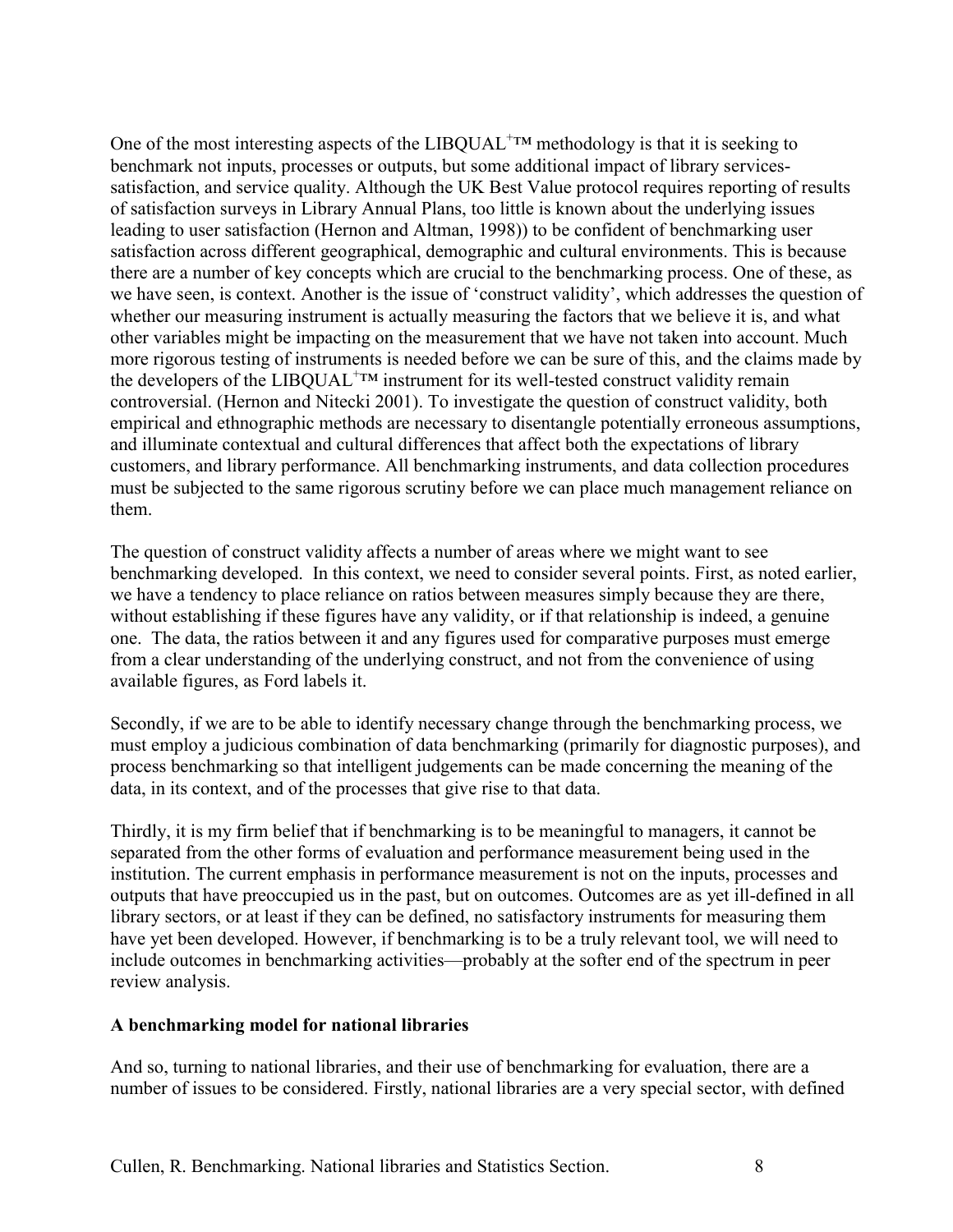One of the most interesting aspects of the  $LIBQUAL^{+TM}$  methodology is that it is seeking to benchmark not inputs, processes or outputs, but some additional impact of library servicessatisfaction, and service quality. Although the UK Best Value protocol requires reporting of results of satisfaction surveys in Library Annual Plans, too little is known about the underlying issues leading to user satisfaction (Hernon and Altman, 1998)) to be confident of benchmarking user satisfaction across different geographical, demographic and cultural environments. This is because there are a number of key concepts which are crucial to the benchmarking process. One of these, as we have seen, is context. Another is the issue of 'construct validity', which addresses the question of whether our measuring instrument is actually measuring the factors that we believe it is, and what other variables might be impacting on the measurement that we have not taken into account. Much more rigorous testing of instruments is needed before we can be sure of this, and the claims made by the developers of the LIBQUAL<sup>+TM</sup> instrument for its well-tested construct validity remain controversial. (Hernon and Nitecki 2001). To investigate the question of construct validity, both empirical and ethnographic methods are necessary to disentangle potentially erroneous assumptions, and illuminate contextual and cultural differences that affect both the expectations of library customers, and library performance. All benchmarking instruments, and data collection procedures must be subjected to the same rigorous scrutiny before we can place much management reliance on them.

The question of construct validity affects a number of areas where we might want to see benchmarking developed. In this context, we need to consider several points. First, as noted earlier, we have a tendency to place reliance on ratios between measures simply because they are there, without establishing if these figures have any validity, or if that relationship is indeed, a genuine one. The data, the ratios between it and any figures used for comparative purposes must emerge from a clear understanding of the underlying construct, and not from the convenience of using available figures, as Ford labels it.

Secondly, if we are to be able to identify necessary change through the benchmarking process, we must employ a judicious combination of data benchmarking (primarily for diagnostic purposes), and process benchmarking so that intelligent judgements can be made concerning the meaning of the data, in its context, and of the processes that give rise to that data.

Thirdly, it is my firm belief that if benchmarking is to be meaningful to managers, it cannot be separated from the other forms of evaluation and performance measurement being used in the institution. The current emphasis in performance measurement is not on the inputs, processes and outputs that have preoccupied us in the past, but on outcomes. Outcomes are as yet ill-defined in all library sectors, or at least if they can be defined, no satisfactory instruments for measuring them have yet been developed. However, if benchmarking is to be a truly relevant tool, we will need to include outcomes in benchmarking activities—probably at the softer end of the spectrum in peer review analysis.

### **A benchmarking model for national libraries**

And so, turning to national libraries, and their use of benchmarking for evaluation, there are a number of issues to be considered. Firstly, national libraries are a very special sector, with defined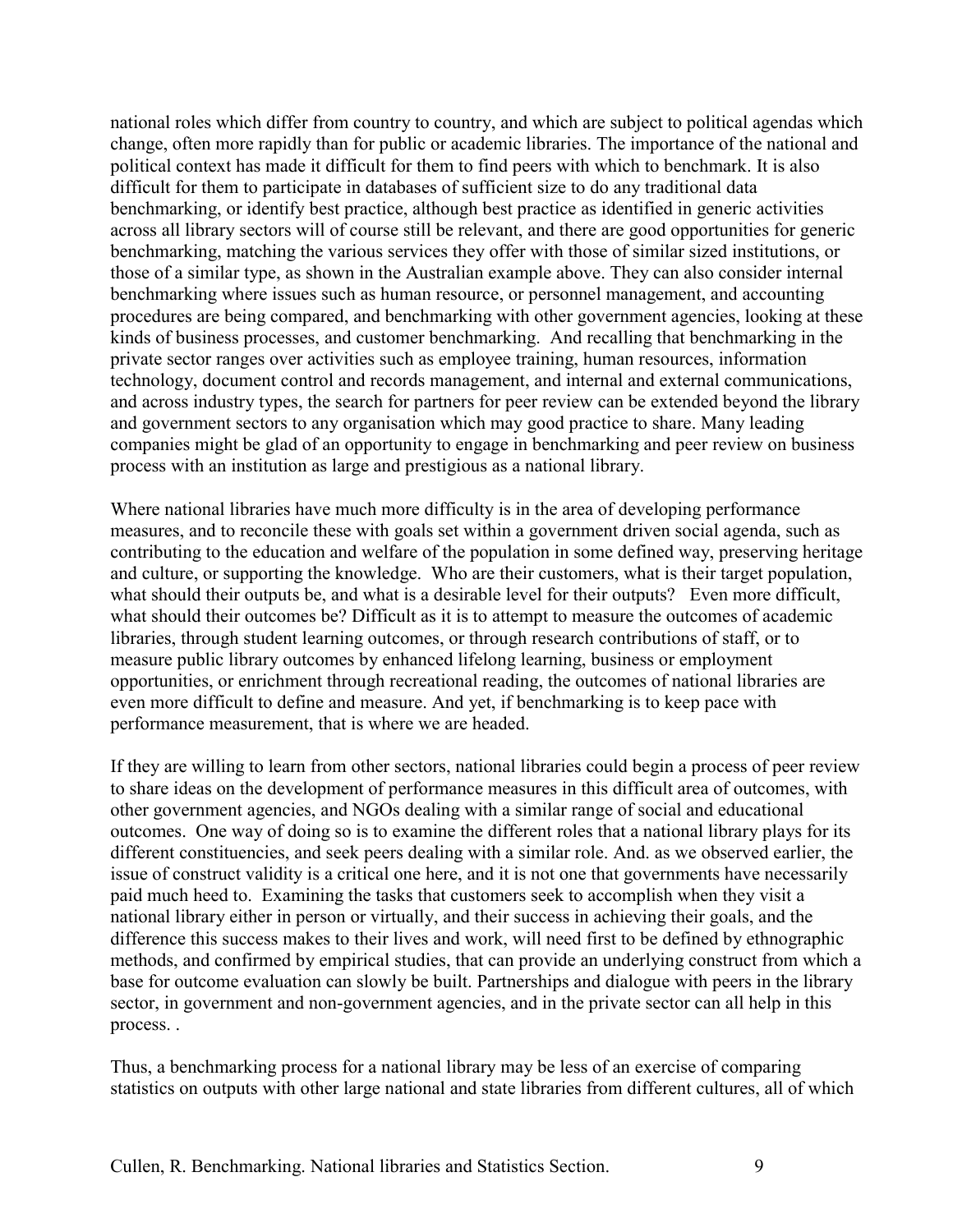national roles which differ from country to country, and which are subject to political agendas which change, often more rapidly than for public or academic libraries. The importance of the national and political context has made it difficult for them to find peers with which to benchmark. It is also difficult for them to participate in databases of sufficient size to do any traditional data benchmarking, or identify best practice, although best practice as identified in generic activities across all library sectors will of course still be relevant, and there are good opportunities for generic benchmarking, matching the various services they offer with those of similar sized institutions, or those of a similar type, as shown in the Australian example above. They can also consider internal benchmarking where issues such as human resource, or personnel management, and accounting procedures are being compared, and benchmarking with other government agencies, looking at these kinds of business processes, and customer benchmarking. And recalling that benchmarking in the private sector ranges over activities such as employee training, human resources, information technology, document control and records management, and internal and external communications, and across industry types, the search for partners for peer review can be extended beyond the library and government sectors to any organisation which may good practice to share. Many leading companies might be glad of an opportunity to engage in benchmarking and peer review on business process with an institution as large and prestigious as a national library.

Where national libraries have much more difficulty is in the area of developing performance measures, and to reconcile these with goals set within a government driven social agenda, such as contributing to the education and welfare of the population in some defined way, preserving heritage and culture, or supporting the knowledge. Who are their customers, what is their target population, what should their outputs be, and what is a desirable level for their outputs? Even more difficult, what should their outcomes be? Difficult as it is to attempt to measure the outcomes of academic libraries, through student learning outcomes, or through research contributions of staff, or to measure public library outcomes by enhanced lifelong learning, business or employment opportunities, or enrichment through recreational reading, the outcomes of national libraries are even more difficult to define and measure. And yet, if benchmarking is to keep pace with performance measurement, that is where we are headed.

If they are willing to learn from other sectors, national libraries could begin a process of peer review to share ideas on the development of performance measures in this difficult area of outcomes, with other government agencies, and NGOs dealing with a similar range of social and educational outcomes. One way of doing so is to examine the different roles that a national library plays for its different constituencies, and seek peers dealing with a similar role. And. as we observed earlier, the issue of construct validity is a critical one here, and it is not one that governments have necessarily paid much heed to. Examining the tasks that customers seek to accomplish when they visit a national library either in person or virtually, and their success in achieving their goals, and the difference this success makes to their lives and work, will need first to be defined by ethnographic methods, and confirmed by empirical studies, that can provide an underlying construct from which a base for outcome evaluation can slowly be built. Partnerships and dialogue with peers in the library sector, in government and non-government agencies, and in the private sector can all help in this process. .

Thus, a benchmarking process for a national library may be less of an exercise of comparing statistics on outputs with other large national and state libraries from different cultures, all of which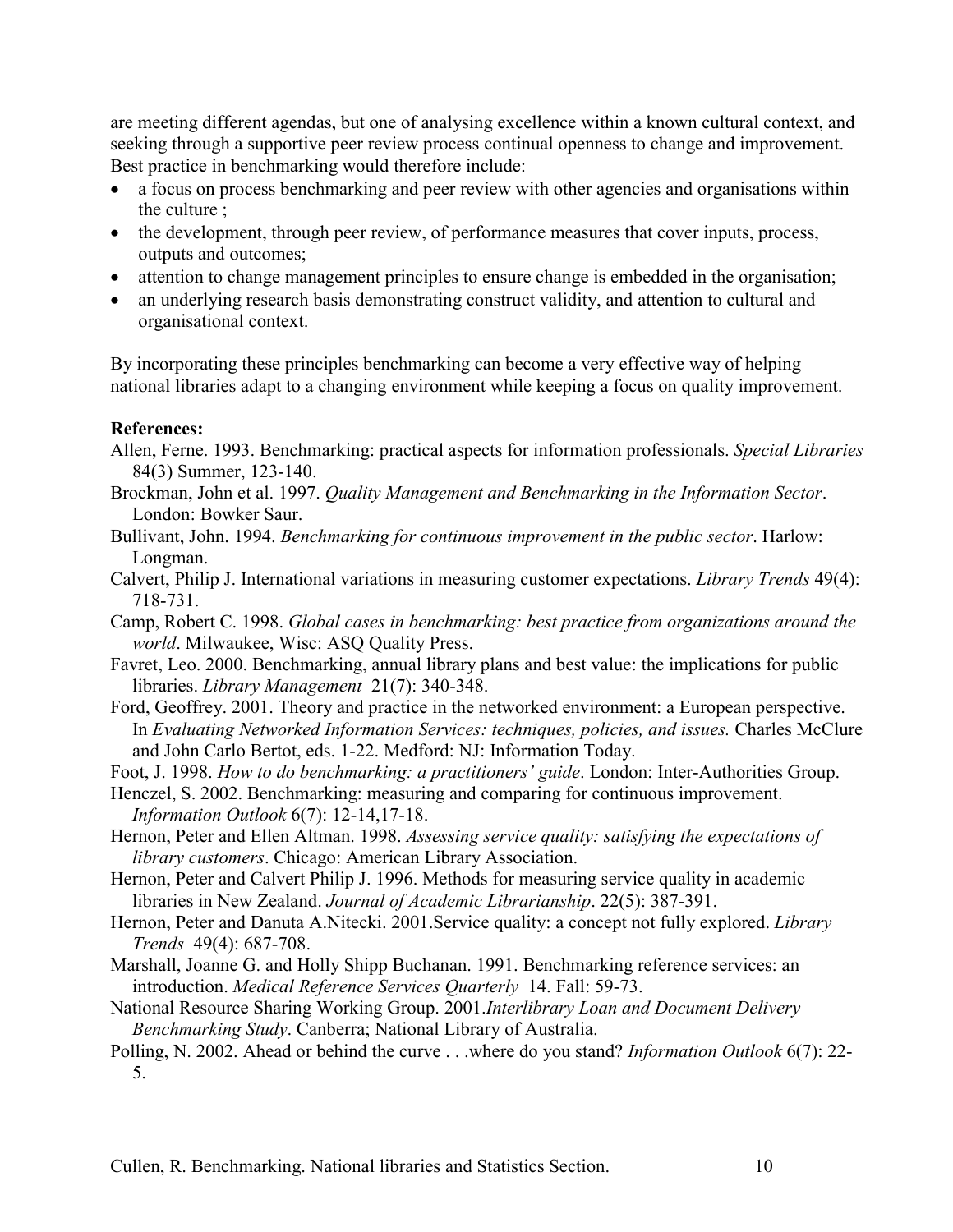are meeting different agendas, but one of analysing excellence within a known cultural context, and seeking through a supportive peer review process continual openness to change and improvement. Best practice in benchmarking would therefore include:

- a focus on process benchmarking and peer review with other agencies and organisations within the culture ;
- the development, through peer review, of performance measures that cover inputs, process, outputs and outcomes;
- attention to change management principles to ensure change is embedded in the organisation;
- an underlying research basis demonstrating construct validity, and attention to cultural and organisational context.

By incorporating these principles benchmarking can become a very effective way of helping national libraries adapt to a changing environment while keeping a focus on quality improvement.

### **References:**

- Allen, Ferne. 1993. Benchmarking: practical aspects for information professionals. *Special Libraries* 84(3) Summer, 123-140.
- Brockman, John et al. 1997. *Quality Management and Benchmarking in the Information Sector*. London: Bowker Saur.
- Bullivant, John. 1994. *Benchmarking for continuous improvement in the public sector*. Harlow: Longman.
- Calvert, Philip J. International variations in measuring customer expectations. *Library Trends* 49(4): 718-731.

Camp, Robert C. 1998. *Global cases in benchmarking: best practice from organizations around the world*. Milwaukee, Wisc: ASQ Quality Press.

- Favret, Leo. 2000. Benchmarking, annual library plans and best value: the implications for public libraries. *Library Management* 21(7): 340-348.
- Ford, Geoffrey. 2001. Theory and practice in the networked environment: a European perspective. In *Evaluating Networked Information Services: techniques, policies, and issues.* Charles McClure and John Carlo Bertot, eds. 1-22. Medford: NJ: Information Today.
- Foot, J. 1998. *How to do benchmarking: a practitioners' guide*. London: Inter-Authorities Group.
- Henczel, S. 2002. Benchmarking: measuring and comparing for continuous improvement. *Information Outlook* 6(7): 12-14,17-18.
- Hernon, Peter and Ellen Altman. 1998. *Assessing service quality: satisfying the expectations of library customers*. Chicago: American Library Association.
- Hernon, Peter and Calvert Philip J. 1996. Methods for measuring service quality in academic libraries in New Zealand. *Journal of Academic Librarianship*. 22(5): 387-391.
- Hernon, Peter and Danuta A.Nitecki. 2001.Service quality: a concept not fully explored. *Library Trends* 49(4): 687-708.
- Marshall, Joanne G. and Holly Shipp Buchanan. 1991. Benchmarking reference services: an introduction. *Medical Reference Services Quarterly* 14. Fall: 59-73.
- National Resource Sharing Working Group. 2001.*Interlibrary Loan and Document Delivery Benchmarking Study*. Canberra; National Library of Australia.
- Polling, N. 2002. Ahead or behind the curve . . .where do you stand? *Information Outlook* 6(7): 22- 5.